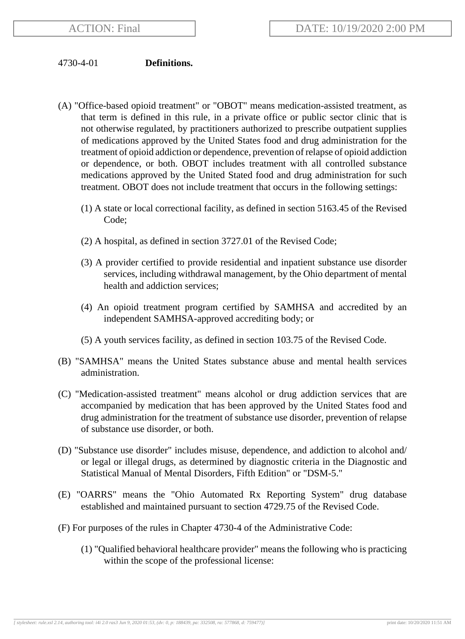## 4730-4-01 **Definitions.**

- (A) "Office-based opioid treatment" or "OBOT" means medication-assisted treatment, as that term is defined in this rule, in a private office or public sector clinic that is not otherwise regulated, by practitioners authorized to prescribe outpatient supplies of medications approved by the United States food and drug administration for the treatment of opioid addiction or dependence, prevention of relapse of opioid addiction or dependence, or both. OBOT includes treatment with all controlled substance medications approved by the United Stated food and drug administration for such treatment. OBOT does not include treatment that occurs in the following settings:
	- (1) A state or local correctional facility, as defined in section 5163.45 of the Revised Code;
	- (2) A hospital, as defined in section 3727.01 of the Revised Code;
	- (3) A provider certified to provide residential and inpatient substance use disorder services, including withdrawal management, by the Ohio department of mental health and addiction services;
	- (4) An opioid treatment program certified by SAMHSA and accredited by an independent SAMHSA-approved accrediting body; or
	- (5) A youth services facility, as defined in section 103.75 of the Revised Code.
- (B) "SAMHSA" means the United States substance abuse and mental health services administration.
- (C) "Medication-assisted treatment" means alcohol or drug addiction services that are accompanied by medication that has been approved by the United States food and drug administration for the treatment of substance use disorder, prevention of relapse of substance use disorder, or both.
- (D) "Substance use disorder" includes misuse, dependence, and addiction to alcohol and/ or legal or illegal drugs, as determined by diagnostic criteria in the Diagnostic and Statistical Manual of Mental Disorders, Fifth Edition" or "DSM-5."
- (E) "OARRS" means the "Ohio Automated Rx Reporting System" drug database established and maintained pursuant to section 4729.75 of the Revised Code.
- (F) For purposes of the rules in Chapter 4730-4 of the Administrative Code:
	- (1) "Qualified behavioral healthcare provider" means the following who is practicing within the scope of the professional license: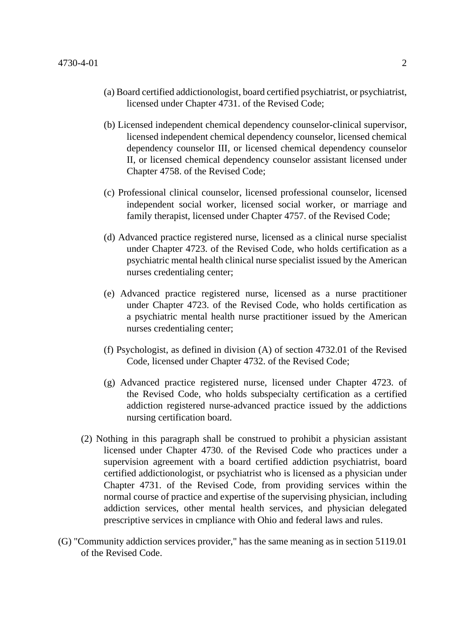- (a) Board certified addictionologist, board certified psychiatrist, or psychiatrist, licensed under Chapter 4731. of the Revised Code;
- (b) Licensed independent chemical dependency counselor-clinical supervisor, licensed independent chemical dependency counselor, licensed chemical dependency counselor III, or licensed chemical dependency counselor II, or licensed chemical dependency counselor assistant licensed under Chapter 4758. of the Revised Code;
- (c) Professional clinical counselor, licensed professional counselor, licensed independent social worker, licensed social worker, or marriage and family therapist, licensed under Chapter 4757. of the Revised Code;
- (d) Advanced practice registered nurse, licensed as a clinical nurse specialist under Chapter 4723. of the Revised Code, who holds certification as a psychiatric mental health clinical nurse specialist issued by the American nurses credentialing center;
- (e) Advanced practice registered nurse, licensed as a nurse practitioner under Chapter 4723. of the Revised Code, who holds certification as a psychiatric mental health nurse practitioner issued by the American nurses credentialing center;
- (f) Psychologist, as defined in division (A) of section 4732.01 of the Revised Code, licensed under Chapter 4732. of the Revised Code;
- (g) Advanced practice registered nurse, licensed under Chapter 4723. of the Revised Code, who holds subspecialty certification as a certified addiction registered nurse-advanced practice issued by the addictions nursing certification board.
- (2) Nothing in this paragraph shall be construed to prohibit a physician assistant licensed under Chapter 4730. of the Revised Code who practices under a supervision agreement with a board certified addiction psychiatrist, board certified addictionologist, or psychiatrist who is licensed as a physician under Chapter 4731. of the Revised Code, from providing services within the normal course of practice and expertise of the supervising physician, including addiction services, other mental health services, and physician delegated prescriptive services in cmpliance with Ohio and federal laws and rules.
- (G) "Community addiction services provider," has the same meaning as in section 5119.01 of the Revised Code.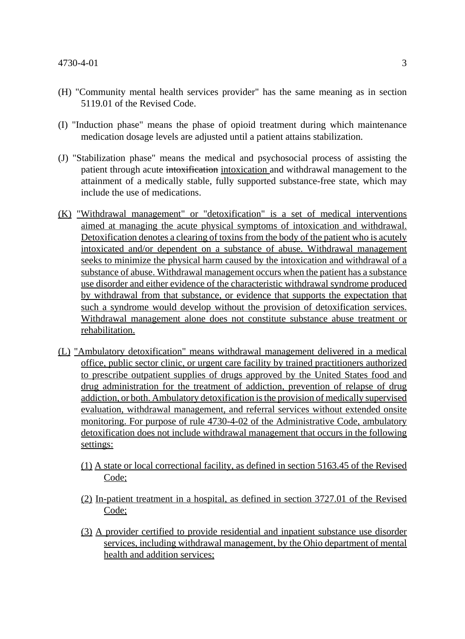- (H) "Community mental health services provider" has the same meaning as in section 5119.01 of the Revised Code.
- (I) "Induction phase" means the phase of opioid treatment during which maintenance medication dosage levels are adjusted until a patient attains stabilization.
- (J) "Stabilization phase" means the medical and psychosocial process of assisting the patient through acute intoxification intoxication and withdrawal management to the attainment of a medically stable, fully supported substance-free state, which may include the use of medications.
- (K) "Withdrawal management" or "detoxification" is a set of medical interventions aimed at managing the acute physical symptoms of intoxication and withdrawal. Detoxification denotes a clearing of toxins from the body of the patient who is acutely intoxicated and/or dependent on a substance of abuse. Withdrawal management seeks to minimize the physical harm caused by the intoxication and withdrawal of a substance of abuse. Withdrawal management occurs when the patient has a substance use disorder and either evidence of the characteristic withdrawal syndrome produced by withdrawal from that substance, or evidence that supports the expectation that such a syndrome would develop without the provision of detoxification services. Withdrawal management alone does not constitute substance abuse treatment or rehabilitation.
- (L) "Ambulatory detoxification" means withdrawal management delivered in a medical office, public sector clinic, or urgent care facility by trained practitioners authorized to prescribe outpatient supplies of drugs approved by the United States food and drug administration for the treatment of addiction, prevention of relapse of drug addiction, or both. Ambulatory detoxification is the provision of medically supervised evaluation, withdrawal management, and referral services without extended onsite monitoring. For purpose of rule 4730-4-02 of the Administrative Code, ambulatory detoxification does not include withdrawal management that occurs in the following settings:
	- (1) A state or local correctional facility, as defined in section 5163.45 of the Revised Code;
	- (2) In-patient treatment in a hospital, as defined in section 3727.01 of the Revised Code;
	- (3) A provider certified to provide residential and inpatient substance use disorder services, including withdrawal management, by the Ohio department of mental health and addition services;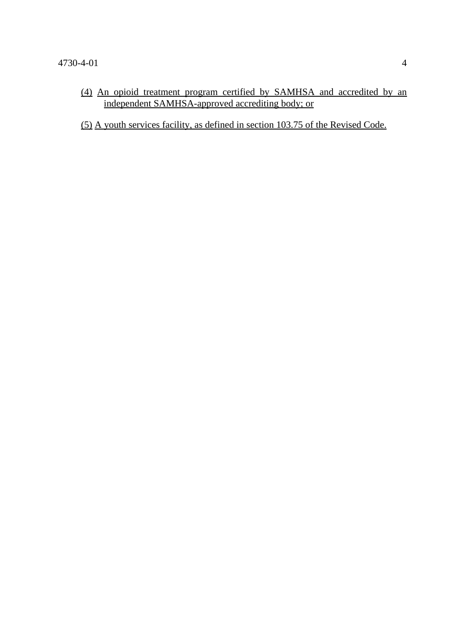(4) An opioid treatment program certified by SAMHSA and accredited by an independent SAMHSA-approved accrediting body; or

(5) A youth services facility, as defined in section 103.75 of the Revised Code.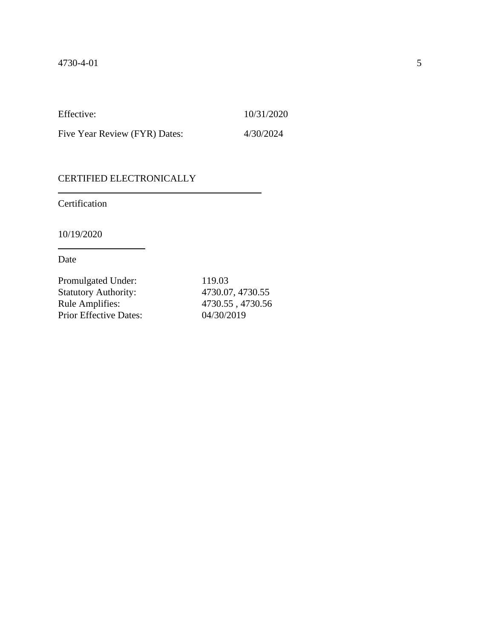Effective: 10/31/2020

Five Year Review (FYR) Dates: 4/30/2024

## CERTIFIED ELECTRONICALLY

Certification

10/19/2020

Date

| 4730.07, 4730.55 |
|------------------|
| 4730.55, 4730.56 |
|                  |
|                  |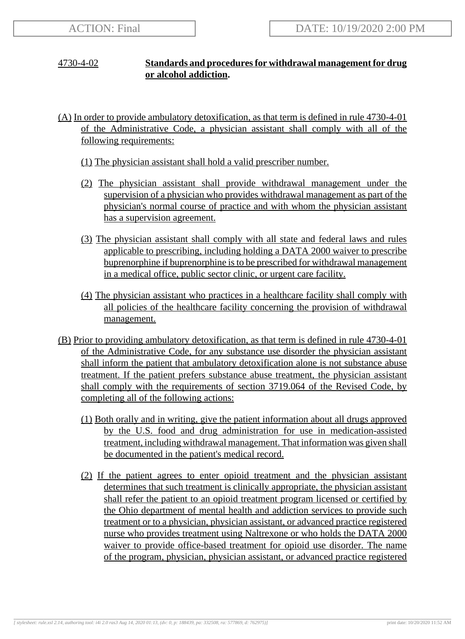## 4730-4-02 **Standards and procedures for withdrawal management for drug or alcohol addiction.**

- (A) In order to provide ambulatory detoxification, as that term is defined in rule 4730-4-01 of the Administrative Code, a physician assistant shall comply with all of the following requirements:
	- (1) The physician assistant shall hold a valid prescriber number.
	- (2) The physician assistant shall provide withdrawal management under the supervision of a physician who provides withdrawal management as part of the physician's normal course of practice and with whom the physician assistant has a supervision agreement.
	- (3) The physician assistant shall comply with all state and federal laws and rules applicable to prescribing, including holding a DATA 2000 waiver to prescribe buprenorphine if buprenorphine is to be prescribed for withdrawal management in a medical office, public sector clinic, or urgent care facility.
	- (4) The physician assistant who practices in a healthcare facility shall comply with all policies of the healthcare facility concerning the provision of withdrawal management.
- (B) Prior to providing ambulatory detoxification, as that term is defined in rule 4730-4-01 of the Administrative Code, for any substance use disorder the physician assistant shall inform the patient that ambulatory detoxification alone is not substance abuse treatment. If the patient prefers substance abuse treatment, the physician assistant shall comply with the requirements of section 3719.064 of the Revised Code, by completing all of the following actions:
	- (1) Both orally and in writing, give the patient information about all drugs approved by the U.S. food and drug administration for use in medication-assisted treatment, including withdrawal management. That information was given shall be documented in the patient's medical record.
	- (2) If the patient agrees to enter opioid treatment and the physician assistant determines that such treatment is clinically appropriate, the physician assistant shall refer the patient to an opioid treatment program licensed or certified by the Ohio department of mental health and addiction services to provide such treatment or to a physician, physician assistant, or advanced practice registered nurse who provides treatment using Naltrexone or who holds the DATA 2000 waiver to provide office-based treatment for opioid use disorder. The name of the program, physician, physician assistant, or advanced practice registered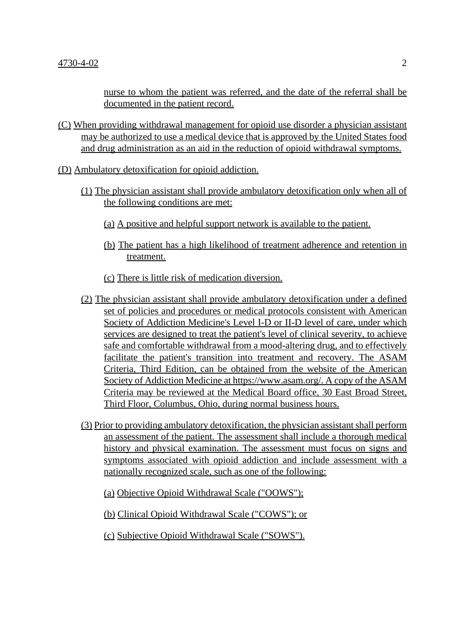nurse to whom the patient was referred, and the date of the referral shall be documented in the patient record.

- (C) When providing withdrawal management for opioid use disorder a physician assistant may be authorized to use a medical device that is approved by the United States food and drug administration as an aid in the reduction of opioid withdrawal symptoms.
- (D) Ambulatory detoxification for opioid addiction.
	- (1) The physician assistant shall provide ambulatory detoxification only when all of the following conditions are met:
		- (a) A positive and helpful support network is available to the patient.
		- (b) The patient has a high likelihood of treatment adherence and retention in treatment.
		- (c) There is little risk of medication diversion.
	- (2) The physician assistant shall provide ambulatory detoxification under a defined set of policies and procedures or medical protocols consistent with American Society of Addiction Medicine's Level I-D or II-D level of care, under which services are designed to treat the patient's level of clinical severity, to achieve safe and comfortable withdrawal from a mood-altering drug, and to effectively facilitate the patient's transition into treatment and recovery. The ASAM Criteria, Third Edition, can be obtained from the website of the American Society of Addiction Medicine at https://www.asam.org/. A copy of the ASAM Criteria may be reviewed at the Medical Board office, 30 East Broad Street, Third Floor, Columbus, Ohio, during normal business hours.
	- (3) Prior to providing ambulatory detoxification, the physician assistant shall perform an assessment of the patient. The assessment shall include a thorough medical history and physical examination. The assessment must focus on signs and symptoms associated with opioid addiction and include assessment with a nationally recognized scale, such as one of the following:
		- (a) Objective Opioid Withdrawal Scale ("OOWS");
		- (b) Clinical Opioid Withdrawal Scale ("COWS"); or
		- (c) Subjective Opioid Withdrawal Scale ("SOWS").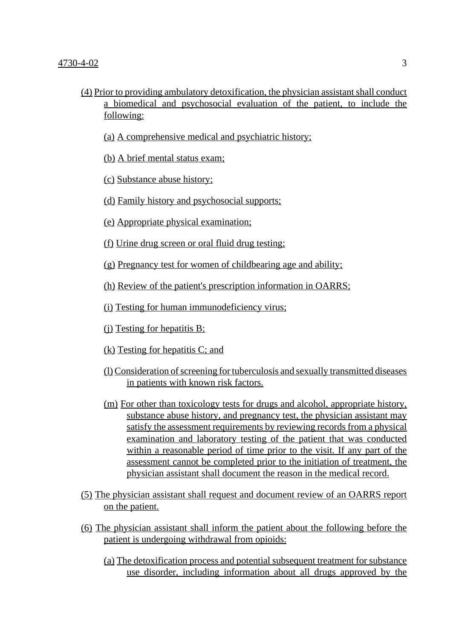- (4) Prior to providing ambulatory detoxification, the physician assistant shall conduct a biomedical and psychosocial evaluation of the patient, to include the following:
	- (a) A comprehensive medical and psychiatric history;
	- (b) A brief mental status exam;
	- (c) Substance abuse history;
	- (d) Family history and psychosocial supports;
	- (e) Appropriate physical examination;
	- (f) Urine drug screen or oral fluid drug testing;
	- (g) Pregnancy test for women of childbearing age and ability;
	- (h) Review of the patient's prescription information in OARRS;
	- (i) Testing for human immunodeficiency virus;
	- (j) Testing for hepatitis B;
	- (k) Testing for hepatitis C; and
	- (l) Consideration of screening for tuberculosis and sexually transmitted diseases in patients with known risk factors.
	- (m) For other than toxicology tests for drugs and alcohol, appropriate history, substance abuse history, and pregnancy test, the physician assistant may satisfy the assessment requirements by reviewing records from a physical examination and laboratory testing of the patient that was conducted within a reasonable period of time prior to the visit. If any part of the assessment cannot be completed prior to the initiation of treatment, the physician assistant shall document the reason in the medical record.
- (5) The physician assistant shall request and document review of an OARRS report on the patient.
- (6) The physician assistant shall inform the patient about the following before the patient is undergoing withdrawal from opioids:
	- (a) The detoxification process and potential subsequent treatment for substance use disorder, including information about all drugs approved by the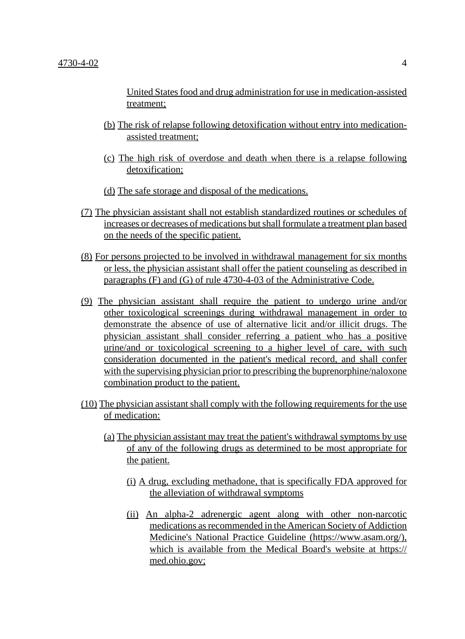United States food and drug administration for use in medication-assisted treatment;

- (b) The risk of relapse following detoxification without entry into medicationassisted treatment;
- (c) The high risk of overdose and death when there is a relapse following detoxification;
- (d) The safe storage and disposal of the medications.
- (7) The physician assistant shall not establish standardized routines or schedules of increases or decreases of medications but shall formulate a treatment plan based on the needs of the specific patient.
- (8) For persons projected to be involved in withdrawal management for six months or less, the physician assistant shall offer the patient counseling as described in paragraphs (F) and (G) of rule 4730-4-03 of the Administrative Code.
- (9) The physician assistant shall require the patient to undergo urine and/or other toxicological screenings during withdrawal management in order to demonstrate the absence of use of alternative licit and/or illicit drugs. The physician assistant shall consider referring a patient who has a positive urine/and or toxicological screening to a higher level of care, with such consideration documented in the patient's medical record, and shall confer with the supervising physician prior to prescribing the buprenorphine/naloxone combination product to the patient.
- (10) The physician assistant shall comply with the following requirements for the use of medication:
	- (a) The physician assistant may treat the patient's withdrawal symptoms by use of any of the following drugs as determined to be most appropriate for the patient.
		- (i) A drug, excluding methadone, that is specifically FDA approved for the alleviation of withdrawal symptoms
		- (ii) An alpha-2 adrenergic agent along with other non-narcotic medications as recommended in the American Society of Addiction Medicine's National Practice Guideline (https://www.asam.org/), which is available from the Medical Board's website at https:// med.ohio.gov;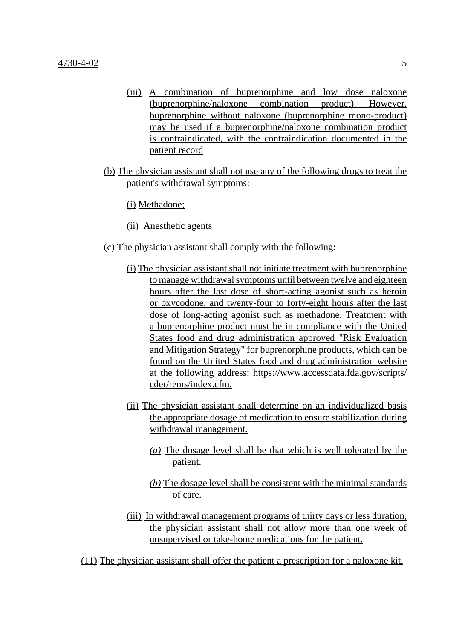- (iii) A combination of buprenorphine and low dose naloxone (buprenorphine/naloxone combination product). However, buprenorphine without naloxone (buprenorphine mono-product) may be used if a buprenorphine/naloxone combination product is contraindicated, with the contraindication documented in the patient record
- (b) The physician assistant shall not use any of the following drugs to treat the patient's withdrawal symptoms:

(i) Methadone;

(ii) Anesthetic agents

- (c) The physician assistant shall comply with the following:
	- (i) The physician assistant shall not initiate treatment with buprenorphine to manage withdrawal symptoms until between twelve and eighteen hours after the last dose of short-acting agonist such as heroin or oxycodone, and twenty-four to forty-eight hours after the last dose of long-acting agonist such as methadone. Treatment with a buprenorphine product must be in compliance with the United States food and drug administration approved "Risk Evaluation and Mitigation Strategy" for buprenorphine products, which can be found on the United States food and drug administration website at the following address: https://www.accessdata.fda.gov/scripts/ cder/rems/index.cfm.
	- (ii) The physician assistant shall determine on an individualized basis the appropriate dosage of medication to ensure stabilization during withdrawal management.
		- *(a)* The dosage level shall be that which is well tolerated by the patient.
		- *(b)* The dosage level shall be consistent with the minimal standards of care.
	- (iii) In withdrawal management programs of thirty days or less duration, the physician assistant shall not allow more than one week of unsupervised or take-home medications for the patient.

(11) The physician assistant shall offer the patient a prescription for a naloxone kit.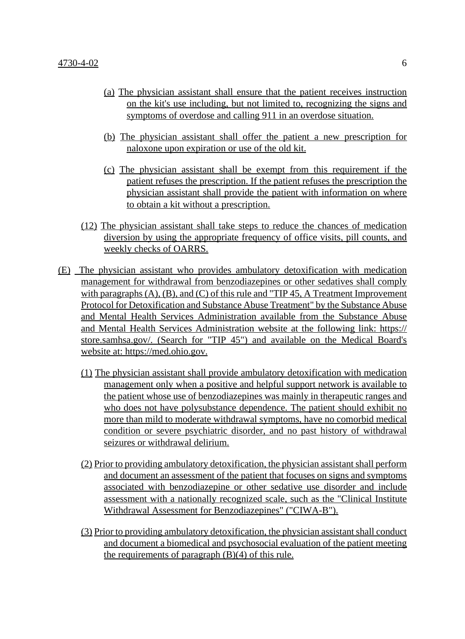- (a) The physician assistant shall ensure that the patient receives instruction on the kit's use including, but not limited to, recognizing the signs and symptoms of overdose and calling 911 in an overdose situation.
- (b) The physician assistant shall offer the patient a new prescription for naloxone upon expiration or use of the old kit.
- (c) The physician assistant shall be exempt from this requirement if the patient refuses the prescription. If the patient refuses the prescription the physician assistant shall provide the patient with information on where to obtain a kit without a prescription.
- (12) The physician assistant shall take steps to reduce the chances of medication diversion by using the appropriate frequency of office visits, pill counts, and weekly checks of OARRS.
- (E) The physician assistant who provides ambulatory detoxification with medication management for withdrawal from benzodiazepines or other sedatives shall comply with paragraphs  $(A)$ ,  $(B)$ , and  $(C)$  of this rule and "TIP 45, A Treatment Improvement Protocol for Detoxification and Substance Abuse Treatment" by the Substance Abuse and Mental Health Services Administration available from the Substance Abuse and Mental Health Services Administration website at the following link: https:// store.samhsa.gov/. (Search for "TIP 45") and available on the Medical Board's website at: https://med.ohio.gov.
	- (1) The physician assistant shall provide ambulatory detoxification with medication management only when a positive and helpful support network is available to the patient whose use of benzodiazepines was mainly in therapeutic ranges and who does not have polysubstance dependence. The patient should exhibit no more than mild to moderate withdrawal symptoms, have no comorbid medical condition or severe psychiatric disorder, and no past history of withdrawal seizures or withdrawal delirium.
	- (2) Prior to providing ambulatory detoxification, the physician assistant shall perform and document an assessment of the patient that focuses on signs and symptoms associated with benzodiazepine or other sedative use disorder and include assessment with a nationally recognized scale, such as the "Clinical Institute Withdrawal Assessment for Benzodiazepines" ("CIWA-B").
	- (3) Prior to providing ambulatory detoxification, the physician assistant shall conduct and document a biomedical and psychosocial evaluation of the patient meeting the requirements of paragraph  $(B)(4)$  of this rule.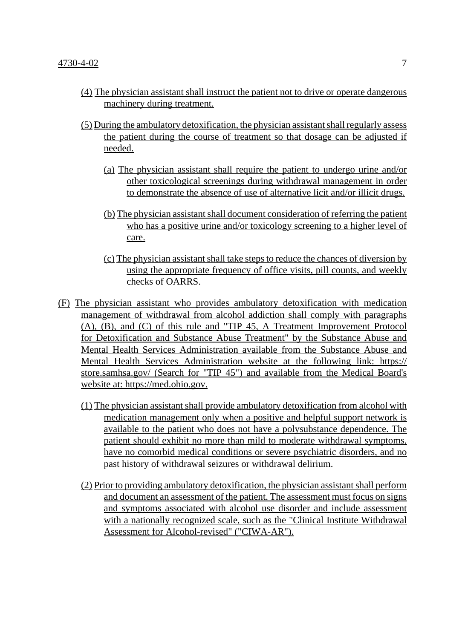- (4) The physician assistant shall instruct the patient not to drive or operate dangerous machinery during treatment.
- (5) During the ambulatory detoxification, the physician assistant shall regularly assess the patient during the course of treatment so that dosage can be adjusted if needed.
	- (a) The physician assistant shall require the patient to undergo urine and/or other toxicological screenings during withdrawal management in order to demonstrate the absence of use of alternative licit and/or illicit drugs.
	- (b) The physician assistant shall document consideration of referring the patient who has a positive urine and/or toxicology screening to a higher level of care.
	- (c) The physician assistant shall take steps to reduce the chances of diversion by using the appropriate frequency of office visits, pill counts, and weekly checks of OARRS.
- (F) The physician assistant who provides ambulatory detoxification with medication management of withdrawal from alcohol addiction shall comply with paragraphs (A), (B), and (C) of this rule and "TIP 45, A Treatment Improvement Protocol for Detoxification and Substance Abuse Treatment" by the Substance Abuse and Mental Health Services Administration available from the Substance Abuse and Mental Health Services Administration website at the following link: https:// store.samhsa.gov/ (Search for "TIP 45") and available from the Medical Board's website at: https://med.ohio.gov.
	- (1) The physician assistant shall provide ambulatory detoxification from alcohol with medication management only when a positive and helpful support network is available to the patient who does not have a polysubstance dependence. The patient should exhibit no more than mild to moderate withdrawal symptoms, have no comorbid medical conditions or severe psychiatric disorders, and no past history of withdrawal seizures or withdrawal delirium.
	- (2) Prior to providing ambulatory detoxification, the physician assistant shall perform and document an assessment of the patient. The assessment must focus on signs and symptoms associated with alcohol use disorder and include assessment with a nationally recognized scale, such as the "Clinical Institute Withdrawal Assessment for Alcohol-revised" ("CIWA-AR").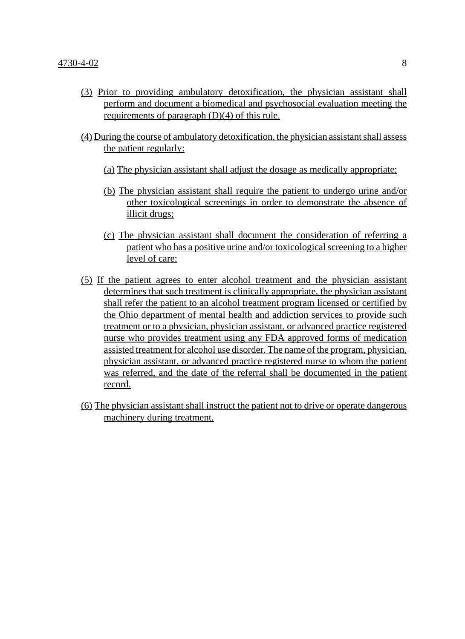- (3) Prior to providing ambulatory detoxification, the physician assistant shall perform and document a biomedical and psychosocial evaluation meeting the requirements of paragraph  $(D)(4)$  of this rule.
- (4) During the course of ambulatory detoxification, the physician assistant shall assess the patient regularly:
	- (a) The physician assistant shall adjust the dosage as medically appropriate;
	- (b) The physician assistant shall require the patient to undergo urine and/or other toxicological screenings in order to demonstrate the absence of illicit drugs;
	- (c) The physician assistant shall document the consideration of referring a patient who has a positive urine and/or toxicological screening to a higher level of care;
- (5) If the patient agrees to enter alcohol treatment and the physician assistant determines that such treatment is clinically appropriate, the physician assistant shall refer the patient to an alcohol treatment program licensed or certified by the Ohio department of mental health and addiction services to provide such treatment or to a physician, physician assistant, or advanced practice registered nurse who provides treatment using any FDA approved forms of medication assisted treatment for alcohol use disorder. The name of the program, physician, physician assistant, or advanced practice registered nurse to whom the patient was referred, and the date of the referral shall be documented in the patient record.
- (6) The physician assistant shall instruct the patient not to drive or operate dangerous machinery during treatment.